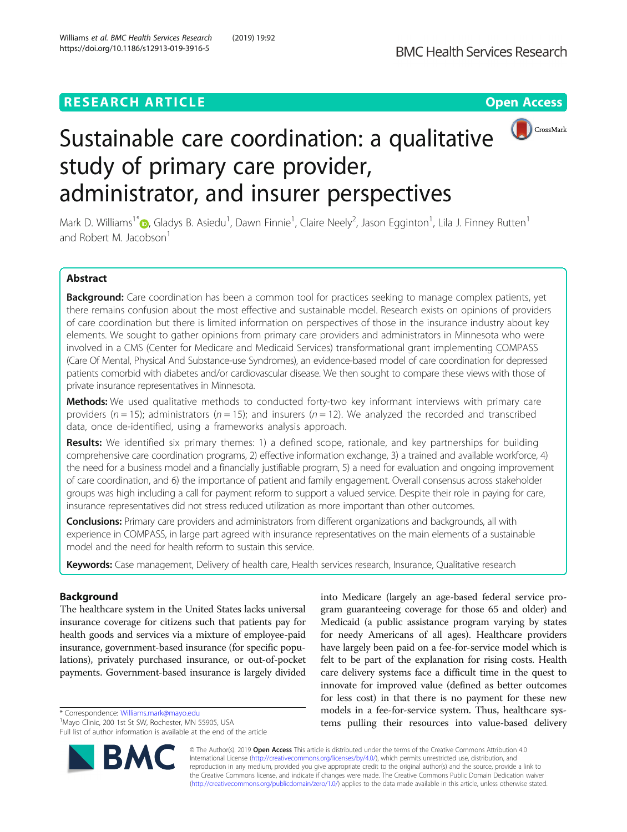# **RESEARCH ARTICLE Example 2018 12:30 THE Open Access**





# Sustainable care coordination: a qualitative study of primary care provider, administrator, and insurer perspectives

Mark D. Williams<sup>1\*</sup> (@, Gladys B. Asiedu<sup>1</sup>, Dawn Finnie<sup>1</sup>, Claire Neely<sup>2</sup>, Jason Egginton<sup>1</sup>, Lila J. Finney Rutten<sup>1</sup> and Robert M. Jacobson<sup>1</sup>

# Abstract

Background: Care coordination has been a common tool for practices seeking to manage complex patients, yet there remains confusion about the most effective and sustainable model. Research exists on opinions of providers of care coordination but there is limited information on perspectives of those in the insurance industry about key elements. We sought to gather opinions from primary care providers and administrators in Minnesota who were involved in a CMS (Center for Medicare and Medicaid Services) transformational grant implementing COMPASS (Care Of Mental, Physical And Substance-use Syndromes), an evidence-based model of care coordination for depressed patients comorbid with diabetes and/or cardiovascular disease. We then sought to compare these views with those of private insurance representatives in Minnesota.

Methods: We used qualitative methods to conducted forty-two key informant interviews with primary care providers ( $n = 15$ ); administrators ( $n = 15$ ); and insurers ( $n = 12$ ). We analyzed the recorded and transcribed data, once de-identified, using a frameworks analysis approach.

**Results:** We identified six primary themes: 1) a defined scope, rationale, and key partnerships for building comprehensive care coordination programs, 2) effective information exchange, 3) a trained and available workforce, 4) the need for a business model and a financially justifiable program, 5) a need for evaluation and ongoing improvement of care coordination, and 6) the importance of patient and family engagement. Overall consensus across stakeholder groups was high including a call for payment reform to support a valued service. Despite their role in paying for care, insurance representatives did not stress reduced utilization as more important than other outcomes.

Conclusions: Primary care providers and administrators from different organizations and backgrounds, all with experience in COMPASS, in large part agreed with insurance representatives on the main elements of a sustainable model and the need for health reform to sustain this service.

Keywords: Case management, Delivery of health care, Health services research, Insurance, Qualitative research

# Background

The healthcare system in the United States lacks universal insurance coverage for citizens such that patients pay for health goods and services via a mixture of employee-paid insurance, government-based insurance (for specific populations), privately purchased insurance, or out-of-pocket payments. Government-based insurance is largely divided

\* Correspondence: [Williams.mark@mayo.edu](mailto:Williams.mark@mayo.edu) <sup>1</sup>

Full list of author information is available at the end of the article



into Medicare (largely an age-based federal service program guaranteeing coverage for those 65 and older) and Medicaid (a public assistance program varying by states for needy Americans of all ages). Healthcare providers have largely been paid on a fee-for-service model which is felt to be part of the explanation for rising costs. Health care delivery systems face a difficult time in the quest to innovate for improved value (defined as better outcomes for less cost) in that there is no payment for these new models in a fee-for-service system. Thus, healthcare systems pulling their resources into value-based delivery

© The Author(s). 2019 Open Access This article is distributed under the terms of the Creative Commons Attribution 4.0 International License [\(http://creativecommons.org/licenses/by/4.0/](http://creativecommons.org/licenses/by/4.0/)), which permits unrestricted use, distribution, and reproduction in any medium, provided you give appropriate credit to the original author(s) and the source, provide a link to the Creative Commons license, and indicate if changes were made. The Creative Commons Public Domain Dedication waiver [\(http://creativecommons.org/publicdomain/zero/1.0/](http://creativecommons.org/publicdomain/zero/1.0/)) applies to the data made available in this article, unless otherwise stated.

<sup>&</sup>lt;sup>1</sup>Mayo Clinic, 200 1st St SW, Rochester, MN 55905, USA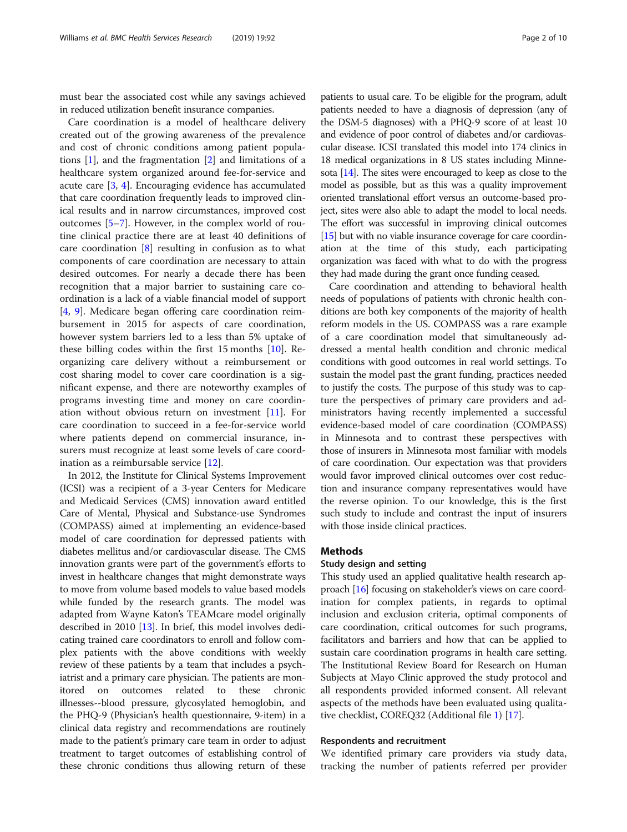must bear the associated cost while any savings achieved in reduced utilization benefit insurance companies.

Care coordination is a model of healthcare delivery created out of the growing awareness of the prevalence and cost of chronic conditions among patient populations [[1](#page-9-0)], and the fragmentation [[2\]](#page-9-0) and limitations of a healthcare system organized around fee-for-service and acute care [\[3,](#page-9-0) [4](#page-9-0)]. Encouraging evidence has accumulated that care coordination frequently leads to improved clinical results and in narrow circumstances, improved cost outcomes [[5](#page-9-0)–[7](#page-9-0)]. However, in the complex world of routine clinical practice there are at least 40 definitions of care coordination [\[8](#page-9-0)] resulting in confusion as to what components of care coordination are necessary to attain desired outcomes. For nearly a decade there has been recognition that a major barrier to sustaining care coordination is a lack of a viable financial model of support [[4,](#page-9-0) [9\]](#page-9-0). Medicare began offering care coordination reimbursement in 2015 for aspects of care coordination, however system barriers led to a less than 5% uptake of these billing codes within the first 15 months [\[10\]](#page-9-0). Reorganizing care delivery without a reimbursement or cost sharing model to cover care coordination is a significant expense, and there are noteworthy examples of programs investing time and money on care coordination without obvious return on investment [\[11](#page-9-0)]. For care coordination to succeed in a fee-for-service world where patients depend on commercial insurance, insurers must recognize at least some levels of care coordination as a reimbursable service [\[12\]](#page-9-0).

In 2012, the Institute for Clinical Systems Improvement (ICSI) was a recipient of a 3-year Centers for Medicare and Medicaid Services (CMS) innovation award entitled Care of Mental, Physical and Substance-use Syndromes (COMPASS) aimed at implementing an evidence-based model of care coordination for depressed patients with diabetes mellitus and/or cardiovascular disease. The CMS innovation grants were part of the government's efforts to invest in healthcare changes that might demonstrate ways to move from volume based models to value based models while funded by the research grants. The model was adapted from Wayne Katon's TEAMcare model originally described in 2010 [[13](#page-9-0)]. In brief, this model involves dedicating trained care coordinators to enroll and follow complex patients with the above conditions with weekly review of these patients by a team that includes a psychiatrist and a primary care physician. The patients are monitored on outcomes related to these chronic illnesses--blood pressure, glycosylated hemoglobin, and the PHQ-9 (Physician's health questionnaire, 9-item) in a clinical data registry and recommendations are routinely made to the patient's primary care team in order to adjust treatment to target outcomes of establishing control of these chronic conditions thus allowing return of these patients to usual care. To be eligible for the program, adult patients needed to have a diagnosis of depression (any of the DSM-5 diagnoses) with a PHQ-9 score of at least 10 and evidence of poor control of diabetes and/or cardiovascular disease. ICSI translated this model into 174 clinics in 18 medical organizations in 8 US states including Minnesota [\[14\]](#page-9-0). The sites were encouraged to keep as close to the model as possible, but as this was a quality improvement oriented translational effort versus an outcome-based project, sites were also able to adapt the model to local needs. The effort was successful in improving clinical outcomes [[15](#page-9-0)] but with no viable insurance coverage for care coordination at the time of this study, each participating organization was faced with what to do with the progress they had made during the grant once funding ceased.

Care coordination and attending to behavioral health needs of populations of patients with chronic health conditions are both key components of the majority of health reform models in the US. COMPASS was a rare example of a care coordination model that simultaneously addressed a mental health condition and chronic medical conditions with good outcomes in real world settings. To sustain the model past the grant funding, practices needed to justify the costs. The purpose of this study was to capture the perspectives of primary care providers and administrators having recently implemented a successful evidence-based model of care coordination (COMPASS) in Minnesota and to contrast these perspectives with those of insurers in Minnesota most familiar with models of care coordination. Our expectation was that providers would favor improved clinical outcomes over cost reduction and insurance company representatives would have the reverse opinion. To our knowledge, this is the first such study to include and contrast the input of insurers with those inside clinical practices.

#### Methods

#### Study design and setting

This study used an applied qualitative health research approach [[16\]](#page-9-0) focusing on stakeholder's views on care coordination for complex patients, in regards to optimal inclusion and exclusion criteria, optimal components of care coordination, critical outcomes for such programs, facilitators and barriers and how that can be applied to sustain care coordination programs in health care setting. The Institutional Review Board for Research on Human Subjects at Mayo Clinic approved the study protocol and all respondents provided informed consent. All relevant aspects of the methods have been evaluated using qualitative checklist, COREQ32 (Additional file [1](#page-8-0)) [[17\]](#page-9-0).

#### Respondents and recruitment

We identified primary care providers via study data, tracking the number of patients referred per provider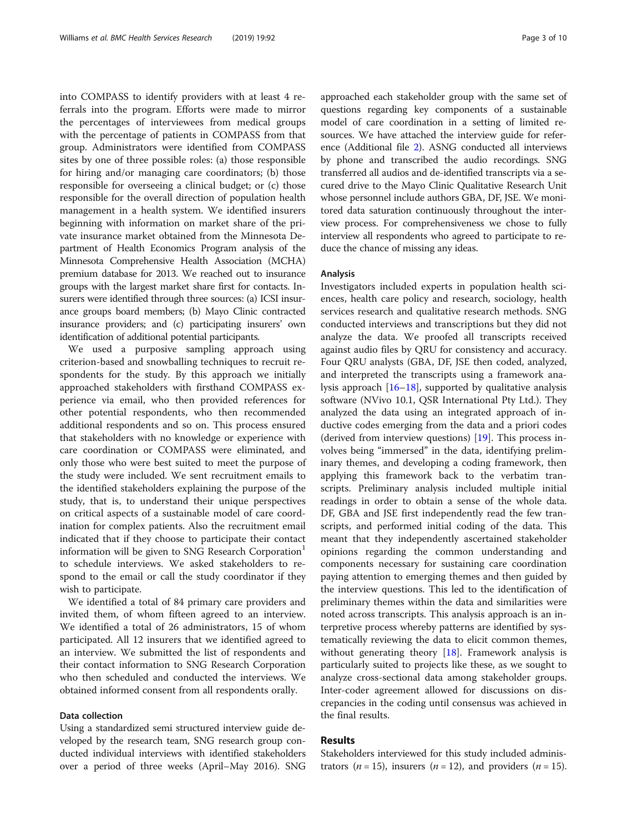into COMPASS to identify providers with at least 4 referrals into the program. Efforts were made to mirror the percentages of interviewees from medical groups with the percentage of patients in COMPASS from that group. Administrators were identified from COMPASS sites by one of three possible roles: (a) those responsible for hiring and/or managing care coordinators; (b) those responsible for overseeing a clinical budget; or (c) those responsible for the overall direction of population health management in a health system. We identified insurers beginning with information on market share of the private insurance market obtained from the Minnesota Department of Health Economics Program analysis of the Minnesota Comprehensive Health Association (MCHA) premium database for 2013. We reached out to insurance groups with the largest market share first for contacts. Insurers were identified through three sources: (a) ICSI insurance groups board members; (b) Mayo Clinic contracted insurance providers; and (c) participating insurers' own identification of additional potential participants.

We used a purposive sampling approach using criterion-based and snowballing techniques to recruit respondents for the study. By this approach we initially approached stakeholders with firsthand COMPASS experience via email, who then provided references for other potential respondents, who then recommended additional respondents and so on. This process ensured that stakeholders with no knowledge or experience with care coordination or COMPASS were eliminated, and only those who were best suited to meet the purpose of the study were included. We sent recruitment emails to the identified stakeholders explaining the purpose of the study, that is, to understand their unique perspectives on critical aspects of a sustainable model of care coordination for complex patients. Also the recruitment email indicated that if they choose to participate their contact information will be given to SNG Research Corporation $<sup>1</sup>$ </sup> to schedule interviews. We asked stakeholders to respond to the email or call the study coordinator if they wish to participate.

We identified a total of 84 primary care providers and invited them, of whom fifteen agreed to an interview. We identified a total of 26 administrators, 15 of whom participated. All 12 insurers that we identified agreed to an interview. We submitted the list of respondents and their contact information to SNG Research Corporation who then scheduled and conducted the interviews. We obtained informed consent from all respondents orally.

# Data collection

Using a standardized semi structured interview guide developed by the research team, SNG research group conducted individual interviews with identified stakeholders over a period of three weeks (April–May 2016). SNG approached each stakeholder group with the same set of questions regarding key components of a sustainable model of care coordination in a setting of limited resources. We have attached the interview guide for reference (Additional file [2\)](#page-8-0). ASNG conducted all interviews by phone and transcribed the audio recordings. SNG transferred all audios and de-identified transcripts via a secured drive to the Mayo Clinic Qualitative Research Unit whose personnel include authors GBA, DF, JSE. We monitored data saturation continuously throughout the interview process. For comprehensiveness we chose to fully interview all respondents who agreed to participate to reduce the chance of missing any ideas.

#### Analysis

Investigators included experts in population health sciences, health care policy and research, sociology, health services research and qualitative research methods. SNG conducted interviews and transcriptions but they did not analyze the data. We proofed all transcripts received against audio files by QRU for consistency and accuracy. Four QRU analysts (GBA, DF, JSE then coded, analyzed, and interpreted the transcripts using a framework analysis approach  $[16–18]$  $[16–18]$  $[16–18]$  $[16–18]$  $[16–18]$ , supported by qualitative analysis software (NVivo 10.1, QSR International Pty Ltd.). They analyzed the data using an integrated approach of inductive codes emerging from the data and a priori codes (derived from interview questions) [[19](#page-9-0)]. This process involves being "immersed" in the data, identifying preliminary themes, and developing a coding framework, then applying this framework back to the verbatim transcripts. Preliminary analysis included multiple initial readings in order to obtain a sense of the whole data. DF, GBA and JSE first independently read the few transcripts, and performed initial coding of the data. This meant that they independently ascertained stakeholder opinions regarding the common understanding and components necessary for sustaining care coordination paying attention to emerging themes and then guided by the interview questions. This led to the identification of preliminary themes within the data and similarities were noted across transcripts. This analysis approach is an interpretive process whereby patterns are identified by systematically reviewing the data to elicit common themes, without generating theory  $[18]$  $[18]$ . Framework analysis is particularly suited to projects like these, as we sought to analyze cross-sectional data among stakeholder groups. Inter-coder agreement allowed for discussions on discrepancies in the coding until consensus was achieved in the final results.

# Results

Stakeholders interviewed for this study included administrators (*n* = 15), insurers (*n* = 12), and providers (*n* = 15).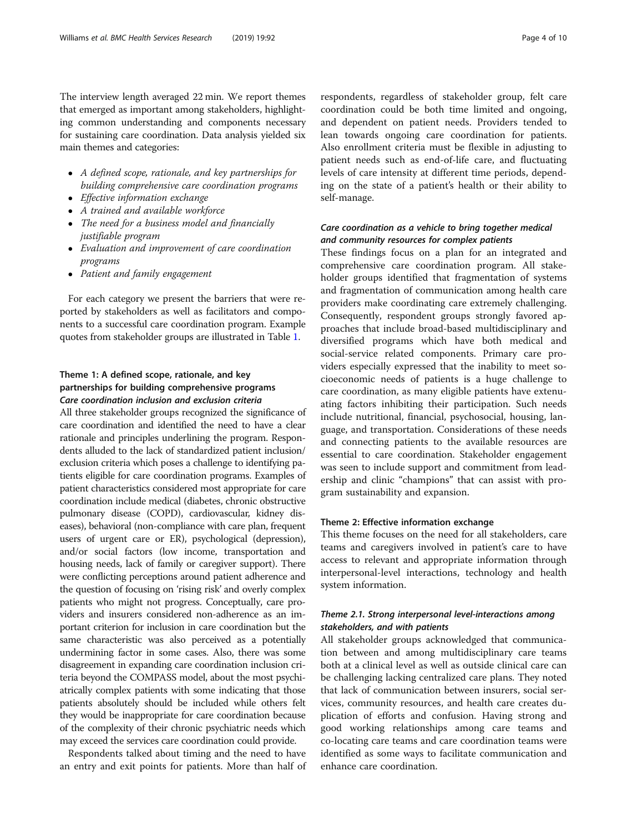The interview length averaged 22 min. We report themes that emerged as important among stakeholders, highlighting common understanding and components necessary for sustaining care coordination. Data analysis yielded six main themes and categories:

- A defined scope, rationale, and key partnerships for building comprehensive care coordination programs
- Effective information exchange
- A trained and available workforce
- The need for a business model and financially justifiable program
- Evaluation and improvement of care coordination programs
- Patient and family engagement

For each category we present the barriers that were reported by stakeholders as well as facilitators and components to a successful care coordination program. Example quotes from stakeholder groups are illustrated in Table [1](#page-4-0).

# Theme 1: A defined scope, rationale, and key partnerships for building comprehensive programs Care coordination inclusion and exclusion criteria

All three stakeholder groups recognized the significance of care coordination and identified the need to have a clear rationale and principles underlining the program. Respondents alluded to the lack of standardized patient inclusion/ exclusion criteria which poses a challenge to identifying patients eligible for care coordination programs. Examples of patient characteristics considered most appropriate for care coordination include medical (diabetes, chronic obstructive pulmonary disease (COPD), cardiovascular, kidney diseases), behavioral (non-compliance with care plan, frequent users of urgent care or ER), psychological (depression), and/or social factors (low income, transportation and housing needs, lack of family or caregiver support). There were conflicting perceptions around patient adherence and the question of focusing on 'rising risk' and overly complex patients who might not progress. Conceptually, care providers and insurers considered non-adherence as an important criterion for inclusion in care coordination but the same characteristic was also perceived as a potentially undermining factor in some cases. Also, there was some disagreement in expanding care coordination inclusion criteria beyond the COMPASS model, about the most psychiatrically complex patients with some indicating that those patients absolutely should be included while others felt they would be inappropriate for care coordination because of the complexity of their chronic psychiatric needs which may exceed the services care coordination could provide.

Respondents talked about timing and the need to have an entry and exit points for patients. More than half of

respondents, regardless of stakeholder group, felt care coordination could be both time limited and ongoing, and dependent on patient needs. Providers tended to lean towards ongoing care coordination for patients. Also enrollment criteria must be flexible in adjusting to patient needs such as end-of-life care, and fluctuating levels of care intensity at different time periods, depending on the state of a patient's health or their ability to self-manage.

# Care coordination as a vehicle to bring together medical and community resources for complex patients

These findings focus on a plan for an integrated and comprehensive care coordination program. All stakeholder groups identified that fragmentation of systems and fragmentation of communication among health care providers make coordinating care extremely challenging. Consequently, respondent groups strongly favored approaches that include broad-based multidisciplinary and diversified programs which have both medical and social-service related components. Primary care providers especially expressed that the inability to meet socioeconomic needs of patients is a huge challenge to care coordination, as many eligible patients have extenuating factors inhibiting their participation. Such needs include nutritional, financial, psychosocial, housing, language, and transportation. Considerations of these needs and connecting patients to the available resources are essential to care coordination. Stakeholder engagement was seen to include support and commitment from leadership and clinic "champions" that can assist with program sustainability and expansion.

# Theme 2: Effective information exchange

This theme focuses on the need for all stakeholders, care teams and caregivers involved in patient's care to have access to relevant and appropriate information through interpersonal-level interactions, technology and health system information.

# Theme 2.1. Strong interpersonal level-interactions among stakeholders, and with patients

All stakeholder groups acknowledged that communication between and among multidisciplinary care teams both at a clinical level as well as outside clinical care can be challenging lacking centralized care plans. They noted that lack of communication between insurers, social services, community resources, and health care creates duplication of efforts and confusion. Having strong and good working relationships among care teams and co-locating care teams and care coordination teams were identified as some ways to facilitate communication and enhance care coordination.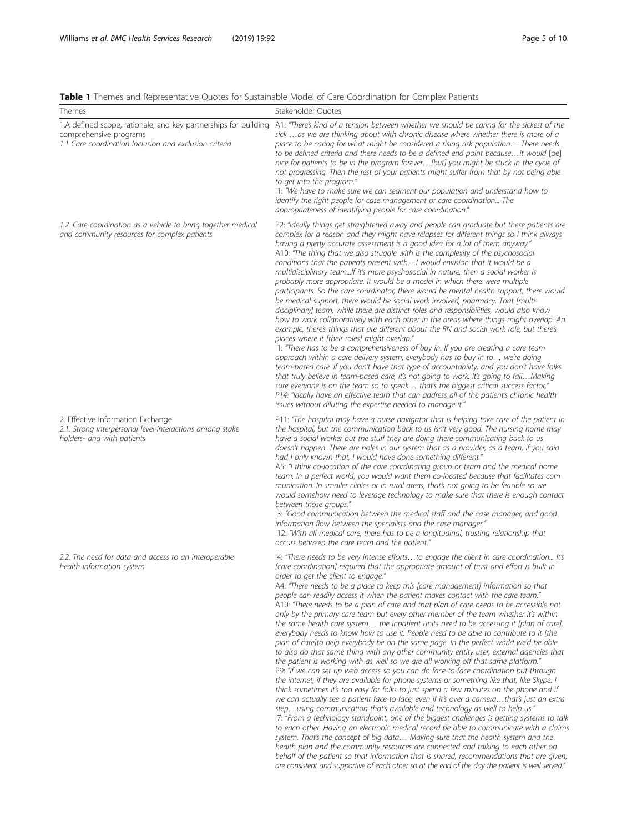<span id="page-4-0"></span>Table 1 Themes and Representative Quotes for Sustainable Model of Care Coordination for Complex Patients

| Themes                                                                                                                                              | Stakeholder Quotes                                                                                                                                                                                                                                                                                                                                                                                                                                                                                                                                                                                                                                                                                                                                                                                                                                                                                                                                                                                                                                                                                                                                                                                                                                                                                                                                                                                                                                                                                                                                                                                                                                                                                                                                                                                                                                                                                                                                                                                                                                                                             |
|-----------------------------------------------------------------------------------------------------------------------------------------------------|------------------------------------------------------------------------------------------------------------------------------------------------------------------------------------------------------------------------------------------------------------------------------------------------------------------------------------------------------------------------------------------------------------------------------------------------------------------------------------------------------------------------------------------------------------------------------------------------------------------------------------------------------------------------------------------------------------------------------------------------------------------------------------------------------------------------------------------------------------------------------------------------------------------------------------------------------------------------------------------------------------------------------------------------------------------------------------------------------------------------------------------------------------------------------------------------------------------------------------------------------------------------------------------------------------------------------------------------------------------------------------------------------------------------------------------------------------------------------------------------------------------------------------------------------------------------------------------------------------------------------------------------------------------------------------------------------------------------------------------------------------------------------------------------------------------------------------------------------------------------------------------------------------------------------------------------------------------------------------------------------------------------------------------------------------------------------------------------|
| 1.A defined scope, rationale, and key partnerships for building<br>comprehensive programs<br>1.1 Care coordination Inclusion and exclusion criteria | A1: "There's kind of a tension between whether we should be caring for the sickest of the<br>sick  as we are thinking about with chronic disease where whether there is more of a<br>place to be caring for what might be considered a rising risk population There needs<br>to be defined criteria and there needs to be a defined end point becauseit would [be]<br>nice for patients to be in the program forever[but] you might be stuck in the cycle of<br>not progressing. Then the rest of your patients might suffer from that by not being able<br>to get into the program."<br>11: "We have to make sure we can segment our population and understand how to<br>identify the right people for case management or care coordination The<br>appropriateness of identifying people for care coordination."                                                                                                                                                                                                                                                                                                                                                                                                                                                                                                                                                                                                                                                                                                                                                                                                                                                                                                                                                                                                                                                                                                                                                                                                                                                                              |
| 1.2. Care coordination as a vehicle to bring together medical<br>and community resources for complex patients                                       | P2: "Ideally things get straightened away and people can graduate but these patients are<br>complex for a reason and they might have relapses for different things so I think always<br>having a pretty accurate assessment is a good idea for a lot of them anyway."<br>A10: "The thing that we also struggle with is the complexity of the psychosocial<br>conditions that the patients present withI would envision that it would be a<br>multidisciplinary teamIf it's more psychosocial in nature, then a social worker is<br>probably more appropriate. It would be a model in which there were multiple<br>participants. So the care coordinator, there would be mental health support, there would<br>be medical support, there would be social work involved, pharmacy. That [multi-<br>disciplinary] team, while there are distinct roles and responsibilities, would also know<br>how to work collaboratively with each other in the areas where things might overlap. An<br>example, there's things that are different about the RN and social work role, but there's<br>places where it [their roles] might overlap."<br>11: "There has to be a comprehensiveness of buy in. If you are creating a care team<br>approach within a care delivery system, everybody has to buy in to we're doing<br>team-based care. If you don't have that type of accountability, and you don't have folks<br>that truly believe in team-based care, it's not going to work. It's going to failMaking<br>sure everyone is on the team so to speak that's the biggest critical success factor."<br>P14: "Ideally have an effective team that can address all of the patient's chronic health<br>issues without diluting the expertise needed to manage it."                                                                                                                                                                                                                                                                                                                                        |
| 2. Effective Information Exchange<br>2.1. Strong Interpersonal level-interactions among stake<br>holders- and with patients                         | P11: "The hospital may have a nurse navigator that is helping take care of the patient in<br>the hospital, but the communication back to us isn't very good. The nursing home may<br>have a social worker but the stuff they are doing there communicating back to us<br>doesn't happen. There are holes in our system that as a provider, as a team, if you said<br>had I only known that, I would have done something different."<br>A5: "I think co-location of the care coordinating group or team and the medical home<br>team. In a perfect world, you would want them co-located because that facilitates com<br>munication. In smaller clinics or in rural areas, that's not going to be feasible so we<br>would somehow need to leverage technology to make sure that there is enough contact<br>between those groups."<br>13: "Good communication between the medical staff and the case manager, and good<br>information flow between the specialists and the case manager."<br>112: "With all medical care, there has to be a longitudinal, trusting relationship that<br>occurs between the care team and the patient."                                                                                                                                                                                                                                                                                                                                                                                                                                                                                                                                                                                                                                                                                                                                                                                                                                                                                                                                                           |
| 2.2. The need for data and access to an interoperable<br>health information system                                                                  | 14: "There needs to be very intense effortsto engage the client in care coordination It's<br>[care coordination] required that the appropriate amount of trust and effort is built in<br>order to get the client to engage."<br>A4: "There needs to be a place to keep this [care management] information so that<br>people can readily access it when the patient makes contact with the care team."<br>A10: "There needs to be a plan of care and that plan of care needs to be accessible not<br>only by the primary care team but every other member of the team whether it's within<br>the same health care system the inpatient units need to be accessing it [plan of care],<br>everybody needs to know how to use it. People need to be able to contribute to it [the<br>plan of care]to help everybody be on the same page. In the perfect world we'd be able<br>to also do that same thing with any other community entity user, external agencies that<br>the patient is working with as well so we are all working off that same platform."<br>P9: "If we can set up web access so you can do face-to-face coordination but through<br>the internet, if they are available for phone systems or something like that, like Skype. I<br>think sometimes it's too easy for folks to just spend a few minutes on the phone and if<br>we can actually see a patient face-to-face, even if it's over a camerathat's just an extra<br>stepusing communication that's available and technology as well to help us."<br>17: "From a technology standpoint, one of the biggest challenges is getting systems to talk<br>to each other. Having an electronic medical record be able to communicate with a claims<br>system. That's the concept of big data Making sure that the health system and the<br>health plan and the community resources are connected and talking to each other on<br>behalf of the patient so that information that is shared, recommendations that are given,<br>are consistent and supportive of each other so at the end of the day the patient is well served." |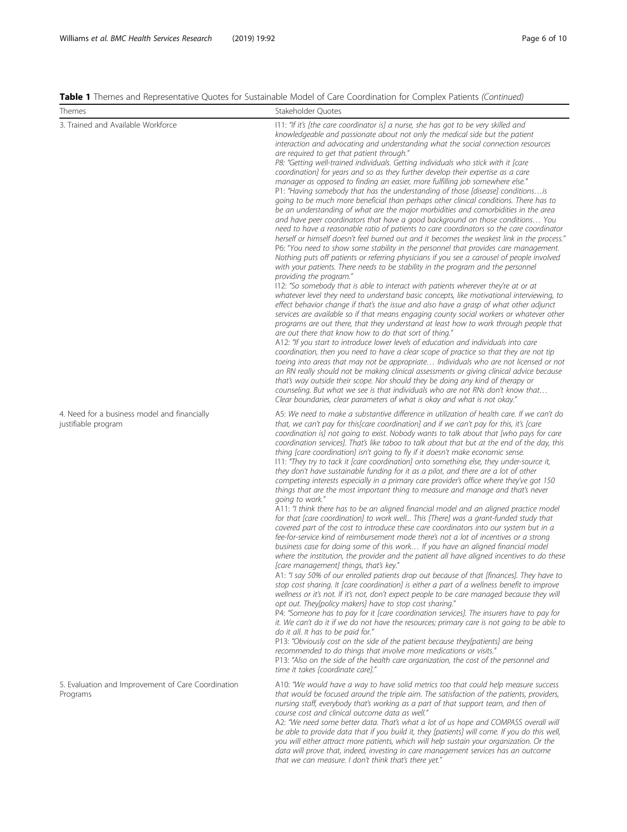Table 1 Themes and Representative Quotes for Sustainable Model of Care Coordination for Complex Patients (Continued)

| Themes                                                              | Stakeholder Ouotes                                                                                                                                                                                                                                                                                                                                                                                                                                                                                                                                                                                                                                                                                                                                                                                                                                                                                                                                                                                                                                                                                                                                                                                                                                                                                                                                                                                                                                                                                                                                                                                                                                                                                                                                                                                                                                                                                                                                                                                                                                                                                                                                                                                                                                                                                                                                                                                                                                                                                                                                                          |
|---------------------------------------------------------------------|-----------------------------------------------------------------------------------------------------------------------------------------------------------------------------------------------------------------------------------------------------------------------------------------------------------------------------------------------------------------------------------------------------------------------------------------------------------------------------------------------------------------------------------------------------------------------------------------------------------------------------------------------------------------------------------------------------------------------------------------------------------------------------------------------------------------------------------------------------------------------------------------------------------------------------------------------------------------------------------------------------------------------------------------------------------------------------------------------------------------------------------------------------------------------------------------------------------------------------------------------------------------------------------------------------------------------------------------------------------------------------------------------------------------------------------------------------------------------------------------------------------------------------------------------------------------------------------------------------------------------------------------------------------------------------------------------------------------------------------------------------------------------------------------------------------------------------------------------------------------------------------------------------------------------------------------------------------------------------------------------------------------------------------------------------------------------------------------------------------------------------------------------------------------------------------------------------------------------------------------------------------------------------------------------------------------------------------------------------------------------------------------------------------------------------------------------------------------------------------------------------------------------------------------------------------------------------|
| 3. Trained and Available Workforce                                  | 111: "If it's [the care coordinator is] a nurse, she has got to be very skilled and<br>knowledgeable and passionate about not only the medical side but the patient<br>interaction and advocating and understanding what the social connection resources<br>are required to get that patient through."<br>P8: "Getting well-trained individuals. Getting individuals who stick with it [care<br>coordination] for years and so as they further develop their expertise as a care<br>manager as opposed to finding an easier, more fulfilling job somewhere else."<br>P1: "Having somebody that has the understanding of those [disease] conditionsis<br>going to be much more beneficial than perhaps other clinical conditions. There has to<br>be an understanding of what are the major morbidities and comorbidities in the area<br>and have peer coordinators that have a good background on those conditions You<br>need to have a reasonable ratio of patients to care coordinators so the care coordinator<br>herself or himself doesn't feel burned out and it becomes the weakest link in the process."<br>P6: "You need to show some stability in the personnel that provides care management.<br>Nothing puts off patients or referring physicians if you see a carousel of people involved<br>with your patients. There needs to be stability in the program and the personnel<br>providing the program."<br>112: "So somebody that is able to interact with patients wherever they're at or at<br>whatever level they need to understand basic concepts, like motivational interviewing, to<br>effect behavior change if that's the issue and also have a grasp of what other adjunct<br>services are available so if that means engaging county social workers or whatever other<br>programs are out there, that they understand at least how to work through people that<br>are out there that know how to do that sort of thing."<br>A12: "If you start to introduce lower levels of education and individuals into care<br>coordination, then you need to have a clear scope of practice so that they are not tip<br>toeing into areas that may not be appropriate Individuals who are not licensed or not<br>an RN really should not be making clinical assessments or giving clinical advice because<br>that's way outside their scope. Nor should they be doing any kind of therapy or<br>counseling. But what we see is that individuals who are not RNs don't know that<br>Clear boundaries, clear parameters of what is okay and what is not okay." |
| 4. Need for a business model and financially<br>justifiable program | A5: We need to make a substantive difference in utilization of health care. If we can't do<br>that, we can't pay for this[care coordination] and if we can't pay for this, it's [care<br>coordination is] not going to exist. Nobody wants to talk about that [who pays for care<br>coordination services]. That's like taboo to talk about that but at the end of the day, this<br>thing [care coordination] isn't going to fly if it doesn't make economic sense.<br>I11: "They try to tack it [care coordination] onto something else, they under-source it,<br>they don't have sustainable funding for it as a pilot, and there are a lot of other<br>competing interests especially in a primary care provider's office where they've got 150<br>things that are the most important thing to measure and manage and that's never<br>going to work."<br>A11: "I think there has to be an aligned financial model and an aligned practice model<br>for that [care coordination] to work well This [There] was a grant-funded study that<br>covered part of the cost to introduce these care coordinators into our system but in a<br>fee-for-service kind of reimbursement mode there's not a lot of incentives or a strong<br>business case for doing some of this work If you have an aligned financial model<br>where the institution, the provider and the patient all have aligned incentives to do these<br>[care management] things, that's key."<br>A1: "I say 50% of our enrolled patients drop out because of that [finances]. They have to<br>stop cost sharing. It [care coordination] is either a part of a wellness benefit to improve<br>wellness or it's not. If it's not, don't expect people to be care managed because they will<br>opt out. They[policy makers] have to stop cost sharing."<br>P4: "Someone has to pay for it [care coordination services]. The insurers have to pay for<br>it. We can't do it if we do not have the resources; primary care is not going to be able to<br>do it all. It has to be paid for."<br>P13: "Obviously cost on the side of the patient because they[patients] are being<br>recommended to do things that involve more medications or visits."<br>P13: "Also on the side of the health care organization, the cost of the personnel and<br>time it takes [coordinate care]."                                                                                                                                                                                                                                |
| 5. Evaluation and Improvement of Care Coordination<br>Programs      | A10: "We would have a way to have solid metrics too that could help measure success<br>that would be focused around the triple aim. The satisfaction of the patients, providers,<br>nursing staff, everybody that's working as a part of that support team, and then of<br>course cost and clinical outcome data as well."<br>A2: "We need some better data. That's what a lot of us hope and COMPASS overall will<br>be able to provide data that if you build it, they [patients] will come. If you do this well,<br>you will either attract more patients, which will help sustain your organization. Or the<br>data will prove that, indeed, investing in care management services has an outcome<br>that we can measure. I don't think that's there yet."                                                                                                                                                                                                                                                                                                                                                                                                                                                                                                                                                                                                                                                                                                                                                                                                                                                                                                                                                                                                                                                                                                                                                                                                                                                                                                                                                                                                                                                                                                                                                                                                                                                                                                                                                                                                              |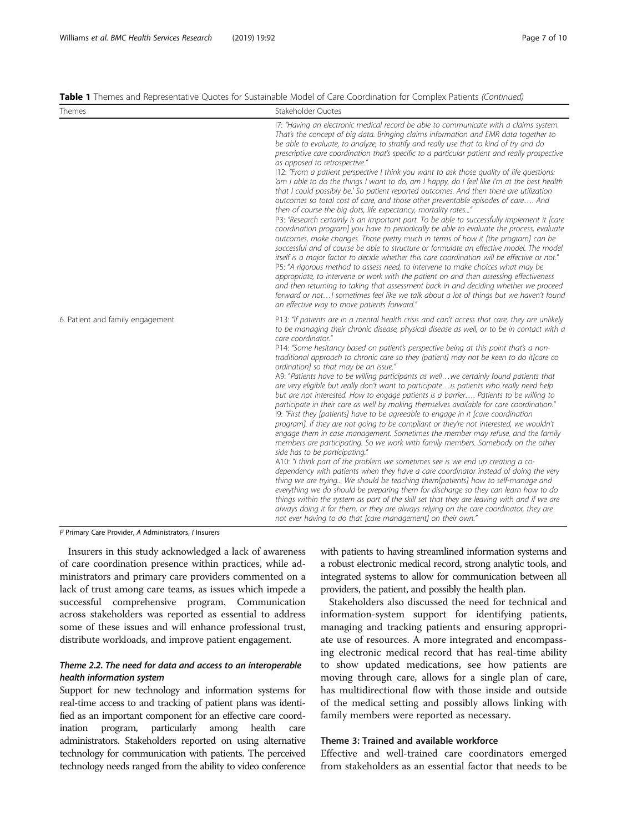Table 1 Themes and Representative Quotes for Sustainable Model of Care Coordination for Complex Patients (Continued)

| Themes                           | Stakeholder Ouotes                                                                                                                                                                                                                                                                                                                                                                                                                                                                                                                                                                                                                                                                                                                                                                                                                                                                                                                                                                                                                                                                                                                                                                                                                                                                                                                                                                                                                                                                                                                                                                                                                                                                                                                                                                                                         |
|----------------------------------|----------------------------------------------------------------------------------------------------------------------------------------------------------------------------------------------------------------------------------------------------------------------------------------------------------------------------------------------------------------------------------------------------------------------------------------------------------------------------------------------------------------------------------------------------------------------------------------------------------------------------------------------------------------------------------------------------------------------------------------------------------------------------------------------------------------------------------------------------------------------------------------------------------------------------------------------------------------------------------------------------------------------------------------------------------------------------------------------------------------------------------------------------------------------------------------------------------------------------------------------------------------------------------------------------------------------------------------------------------------------------------------------------------------------------------------------------------------------------------------------------------------------------------------------------------------------------------------------------------------------------------------------------------------------------------------------------------------------------------------------------------------------------------------------------------------------------|
|                                  | 17: "Having an electronic medical record be able to communicate with a claims system.<br>That's the concept of big data. Bringing claims information and EMR data together to<br>be able to evaluate, to analyze, to stratify and really use that to kind of try and do<br>prescriptive care coordination that's specific to a particular patient and really prospective<br>as opposed to retrospective."<br>112: "From a patient perspective I think you want to ask those quality of life questions:<br>'am I able to do the things I want to do, am I happy, do I feel like I'm at the best health<br>that I could possibly be.' So patient reported outcomes. And then there are utilization<br>outcomes so total cost of care, and those other preventable episodes of care And<br>then of course the big dots, life expectancy, mortality rates"<br>P3: "Research certainly is an important part. To be able to successfully implement it [care<br>coordination program] you have to periodically be able to evaluate the process, evaluate<br>outcomes, make changes. Those pretty much in terms of how it [the program] can be<br>successful and of course be able to structure or formulate an effective model. The model<br>itself is a major factor to decide whether this care coordination will be effective or not."<br>P5: "A rigorous method to assess need, to intervene to make choices what may be<br>appropriate, to intervene or work with the patient on and then assessing effectiveness<br>and then returning to taking that assessment back in and deciding whether we proceed<br>forward or notI sometimes feel like we talk about a lot of things but we haven't found<br>an effective way to move patients forward."                                                                           |
| 6. Patient and family engagement | P13: "If patients are in a mental health crisis and can't access that care, they are unlikely<br>to be managing their chronic disease, physical disease as well, or to be in contact with a<br>care coordinator."<br>P14: "Some hesitancy based on patient's perspective being at this point that's a non-<br>traditional approach to chronic care so they [patient] may not be keen to do it[care co<br>ordination] so that may be an issue."<br>A9: "Patients have to be willing participants as wellwe certainly found patients that<br>are very eligible but really don't want to participateis patients who really need help<br>but are not interested. How to engage patients is a barrier Patients to be willing to<br>participate in their care as well by making themselves available for care coordination."<br>19: "First they [patients] have to be agreeable to engage in it [care coordination<br>program]. If they are not going to be compliant or they're not interested, we wouldn't<br>engage them in case management. Sometimes the member may refuse, and the family<br>members are participating. So we work with family members. Somebody on the other<br>side has to be participating."<br>A10: "I think part of the problem we sometimes see is we end up creating a co-<br>dependency with patients when they have a care coordinator instead of doing the very<br>thing we are trying We should be teaching them[patients] how to self-manage and<br>everything we do should be preparing them for discharge so they can learn how to do<br>things within the system as part of the skill set that they are leaving with and if we are<br>always doing it for them, or they are always relying on the care coordinator, they are<br>not ever having to do that [care management] on their own." |

P Primary Care Provider, A Administrators, I Insurers

Insurers in this study acknowledged a lack of awareness of care coordination presence within practices, while administrators and primary care providers commented on a lack of trust among care teams, as issues which impede a successful comprehensive program. Communication across stakeholders was reported as essential to address some of these issues and will enhance professional trust, distribute workloads, and improve patient engagement.

# Theme 2.2. The need for data and access to an interoperable health information system

Support for new technology and information systems for real-time access to and tracking of patient plans was identified as an important component for an effective care coordination program, particularly among health care administrators. Stakeholders reported on using alternative technology for communication with patients. The perceived technology needs ranged from the ability to video conference with patients to having streamlined information systems and a robust electronic medical record, strong analytic tools, and integrated systems to allow for communication between all providers, the patient, and possibly the health plan.

Stakeholders also discussed the need for technical and information-system support for identifying patients, managing and tracking patients and ensuring appropriate use of resources. A more integrated and encompassing electronic medical record that has real-time ability to show updated medications, see how patients are moving through care, allows for a single plan of care, has multidirectional flow with those inside and outside of the medical setting and possibly allows linking with family members were reported as necessary.

# Theme 3: Trained and available workforce

Effective and well-trained care coordinators emerged from stakeholders as an essential factor that needs to be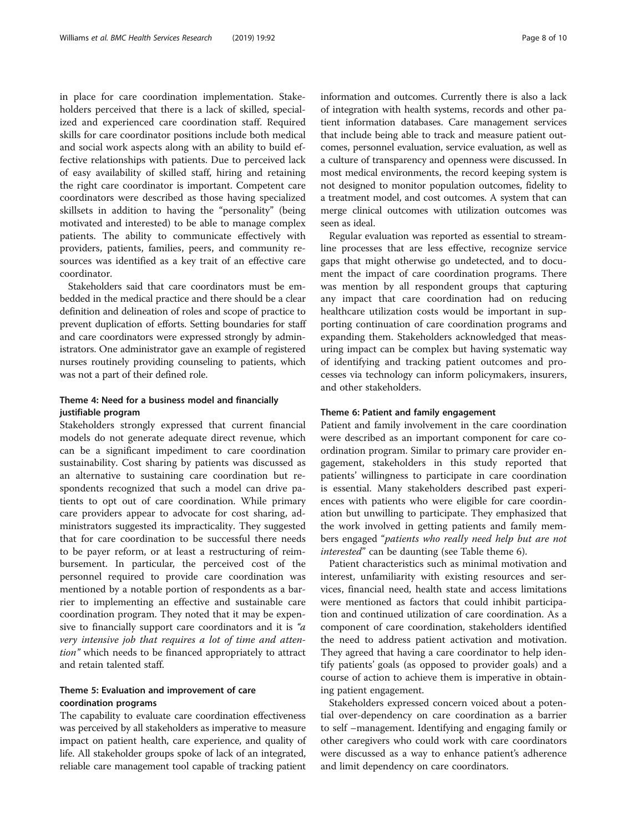in place for care coordination implementation. Stakeholders perceived that there is a lack of skilled, specialized and experienced care coordination staff. Required skills for care coordinator positions include both medical and social work aspects along with an ability to build effective relationships with patients. Due to perceived lack of easy availability of skilled staff, hiring and retaining the right care coordinator is important. Competent care coordinators were described as those having specialized skillsets in addition to having the "personality" (being motivated and interested) to be able to manage complex patients. The ability to communicate effectively with providers, patients, families, peers, and community resources was identified as a key trait of an effective care coordinator.

Stakeholders said that care coordinators must be embedded in the medical practice and there should be a clear definition and delineation of roles and scope of practice to prevent duplication of efforts. Setting boundaries for staff and care coordinators were expressed strongly by administrators. One administrator gave an example of registered nurses routinely providing counseling to patients, which was not a part of their defined role.

# Theme 4: Need for a business model and financially justifiable program

Stakeholders strongly expressed that current financial models do not generate adequate direct revenue, which can be a significant impediment to care coordination sustainability. Cost sharing by patients was discussed as an alternative to sustaining care coordination but respondents recognized that such a model can drive patients to opt out of care coordination. While primary care providers appear to advocate for cost sharing, administrators suggested its impracticality. They suggested that for care coordination to be successful there needs to be payer reform, or at least a restructuring of reimbursement. In particular, the perceived cost of the personnel required to provide care coordination was mentioned by a notable portion of respondents as a barrier to implementing an effective and sustainable care coordination program. They noted that it may be expensive to financially support care coordinators and it is "a very intensive job that requires a lot of time and attention" which needs to be financed appropriately to attract and retain talented staff.

# Theme 5: Evaluation and improvement of care coordination programs

The capability to evaluate care coordination effectiveness was perceived by all stakeholders as imperative to measure impact on patient health, care experience, and quality of life. All stakeholder groups spoke of lack of an integrated, reliable care management tool capable of tracking patient information and outcomes. Currently there is also a lack of integration with health systems, records and other patient information databases. Care management services that include being able to track and measure patient outcomes, personnel evaluation, service evaluation, as well as a culture of transparency and openness were discussed. In most medical environments, the record keeping system is not designed to monitor population outcomes, fidelity to a treatment model, and cost outcomes. A system that can merge clinical outcomes with utilization outcomes was seen as ideal.

Regular evaluation was reported as essential to streamline processes that are less effective, recognize service gaps that might otherwise go undetected, and to document the impact of care coordination programs. There was mention by all respondent groups that capturing any impact that care coordination had on reducing healthcare utilization costs would be important in supporting continuation of care coordination programs and expanding them. Stakeholders acknowledged that measuring impact can be complex but having systematic way of identifying and tracking patient outcomes and processes via technology can inform policymakers, insurers, and other stakeholders.

#### Theme 6: Patient and family engagement

Patient and family involvement in the care coordination were described as an important component for care coordination program. Similar to primary care provider engagement, stakeholders in this study reported that patients' willingness to participate in care coordination is essential. Many stakeholders described past experiences with patients who were eligible for care coordination but unwilling to participate. They emphasized that the work involved in getting patients and family members engaged "patients who really need help but are not interested" can be daunting (see Table theme 6).

Patient characteristics such as minimal motivation and interest, unfamiliarity with existing resources and services, financial need, health state and access limitations were mentioned as factors that could inhibit participation and continued utilization of care coordination. As a component of care coordination, stakeholders identified the need to address patient activation and motivation. They agreed that having a care coordinator to help identify patients' goals (as opposed to provider goals) and a course of action to achieve them is imperative in obtaining patient engagement.

Stakeholders expressed concern voiced about a potential over-dependency on care coordination as a barrier to self –management. Identifying and engaging family or other caregivers who could work with care coordinators were discussed as a way to enhance patient's adherence and limit dependency on care coordinators.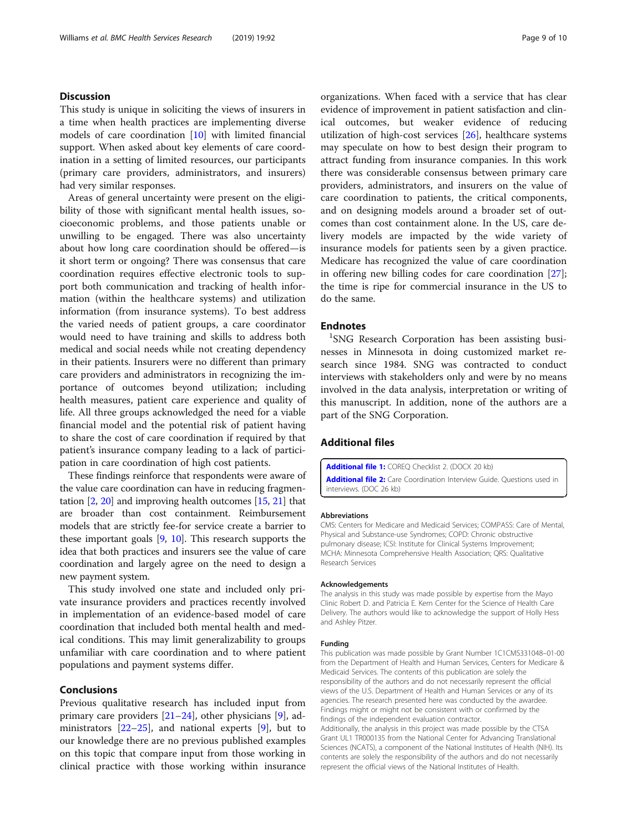#### <span id="page-8-0"></span>**Discussion**

This study is unique in soliciting the views of insurers in a time when health practices are implementing diverse models of care coordination [[10](#page-9-0)] with limited financial support. When asked about key elements of care coordination in a setting of limited resources, our participants (primary care providers, administrators, and insurers) had very similar responses.

Areas of general uncertainty were present on the eligibility of those with significant mental health issues, socioeconomic problems, and those patients unable or unwilling to be engaged. There was also uncertainty about how long care coordination should be offered—is it short term or ongoing? There was consensus that care coordination requires effective electronic tools to support both communication and tracking of health information (within the healthcare systems) and utilization information (from insurance systems). To best address the varied needs of patient groups, a care coordinator would need to have training and skills to address both medical and social needs while not creating dependency in their patients. Insurers were no different than primary care providers and administrators in recognizing the importance of outcomes beyond utilization; including health measures, patient care experience and quality of life. All three groups acknowledged the need for a viable financial model and the potential risk of patient having to share the cost of care coordination if required by that patient's insurance company leading to a lack of participation in care coordination of high cost patients.

These findings reinforce that respondents were aware of the value care coordination can have in reducing fragmentation [[2,](#page-9-0) [20](#page-9-0)] and improving health outcomes [[15](#page-9-0), [21\]](#page-9-0) that are broader than cost containment. Reimbursement models that are strictly fee-for service create a barrier to these important goals [[9,](#page-9-0) [10](#page-9-0)]. This research supports the idea that both practices and insurers see the value of care coordination and largely agree on the need to design a new payment system.

This study involved one state and included only private insurance providers and practices recently involved in implementation of an evidence-based model of care coordination that included both mental health and medical conditions. This may limit generalizability to groups unfamiliar with care coordination and to where patient populations and payment systems differ.

# Conclusions

Previous qualitative research has included input from primary care providers [[21](#page-9-0)–[24](#page-9-0)], other physicians [[9\]](#page-9-0), administrators  $[22-25]$  $[22-25]$  $[22-25]$  $[22-25]$  $[22-25]$ , and national experts  $[9]$  $[9]$ , but to our knowledge there are no previous published examples on this topic that compare input from those working in clinical practice with those working within insurance

organizations. When faced with a service that has clear evidence of improvement in patient satisfaction and clinical outcomes, but weaker evidence of reducing utilization of high-cost services  $[26]$  $[26]$ , healthcare systems may speculate on how to best design their program to attract funding from insurance companies. In this work there was considerable consensus between primary care providers, administrators, and insurers on the value of care coordination to patients, the critical components, and on designing models around a broader set of outcomes than cost containment alone. In the US, care delivery models are impacted by the wide variety of insurance models for patients seen by a given practice. Medicare has recognized the value of care coordination in offering new billing codes for care coordination [\[27](#page-9-0)]; the time is ripe for commercial insurance in the US to do the same.

#### **Endnotes**

<sup>1</sup>SNG Research Corporation has been assisting businesses in Minnesota in doing customized market research since 1984. SNG was contracted to conduct interviews with stakeholders only and were by no means involved in the data analysis, interpretation or writing of this manuscript. In addition, none of the authors are a part of the SNG Corporation.

#### Additional files

[Additional file 1:](https://doi.org/10.1186/s12913-019-3916-5) COREQ Checklist 2. (DOCX 20 kb) [Additional file 2:](https://doi.org/10.1186/s12913-019-3916-5) Care Coordination Interview Guide. Questions used in interviews. (DOC 26 kb)

#### Abbreviations

CMS: Centers for Medicare and Medicaid Services; COMPASS: Care of Mental, Physical and Substance-use Syndromes; COPD: Chronic obstructive pulmonary disease; ICSI: Institute for Clinical Systems Improvement; MCHA: Minnesota Comprehensive Health Association; QRS: Qualitative Research Services

#### Acknowledgements

The analysis in this study was made possible by expertise from the Mayo Clinic Robert D. and Patricia E. Kern Center for the Science of Health Care Delivery. The authors would like to acknowledge the support of Holly Hess and Ashley Pitzer.

#### Funding

This publication was made possible by Grant Number 1C1CMS331048–01-00 from the Department of Health and Human Services, Centers for Medicare & Medicaid Services. The contents of this publication are solely the responsibility of the authors and do not necessarily represent the official views of the U.S. Department of Health and Human Services or any of its agencies. The research presented here was conducted by the awardee. Findings might or might not be consistent with or confirmed by the findings of the independent evaluation contractor.

Additionally, the analysis in this project was made possible by the CTSA Grant UL1 TR000135 from the National Center for Advancing Translational Sciences (NCATS), a component of the National Institutes of Health (NIH). Its contents are solely the responsibility of the authors and do not necessarily represent the official views of the National Institutes of Health.